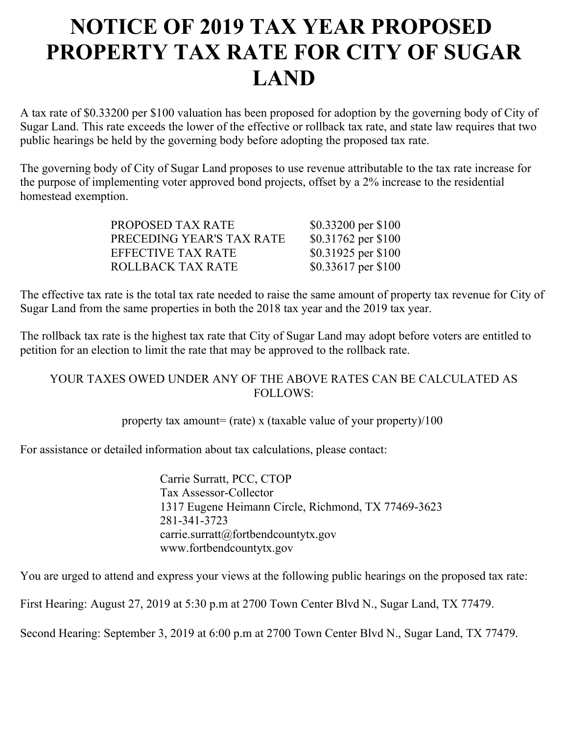## **NOTICE OF 2019 TAX YEAR PROPOSED PROPERTY TAX RATE FOR CITY OF SUGAR LAND**

A tax rate of \$0.33200 per \$100 valuation has been proposed for adoption by the governing body of City of Sugar Land. This rate exceeds the lower of the effective or rollback tax rate, and state law requires that two public hearings be held by the governing body before adopting the proposed tax rate.

The governing body of City of Sugar Land proposes to use revenue attributable to the tax rate increase for the purpose of implementing voter approved bond projects, offset by a 2% increase to the residential homestead exemption.

| PROPOSED TAX RATE         | \$0.33200 per \$100 |
|---------------------------|---------------------|
| PRECEDING YEAR'S TAX RATE | \$0.31762 per \$100 |
| EFFECTIVE TAX RATE        | \$0.31925 per \$100 |
| <b>ROLLBACK TAX RATE</b>  | \$0.33617 per \$100 |

The effective tax rate is the total tax rate needed to raise the same amount of property tax revenue for City of Sugar Land from the same properties in both the 2018 tax year and the 2019 tax year.

The rollback tax rate is the highest tax rate that City of Sugar Land may adopt before voters are entitled to petition for an election to limit the rate that may be approved to the rollback rate.

## YOUR TAXES OWED UNDER ANY OF THE ABOVE RATES CAN BE CALCULATED AS FOLLOWS:

property tax amount= (rate) x (taxable value of your property)/100

For assistance or detailed information about tax calculations, please contact:

Carrie Surratt, PCC, CTOP Tax Assessor-Collector 1317 Eugene Heimann Circle, Richmond, TX 77469-3623 281-341-3723 carrie.surratt@fortbendcountytx.gov www.fortbendcountytx.gov

You are urged to attend and express your views at the following public hearings on the proposed tax rate:

First Hearing: August 27, 2019 at 5:30 p.m at 2700 Town Center Blvd N., Sugar Land, TX 77479.

Second Hearing: September 3, 2019 at 6:00 p.m at 2700 Town Center Blvd N., Sugar Land, TX 77479.